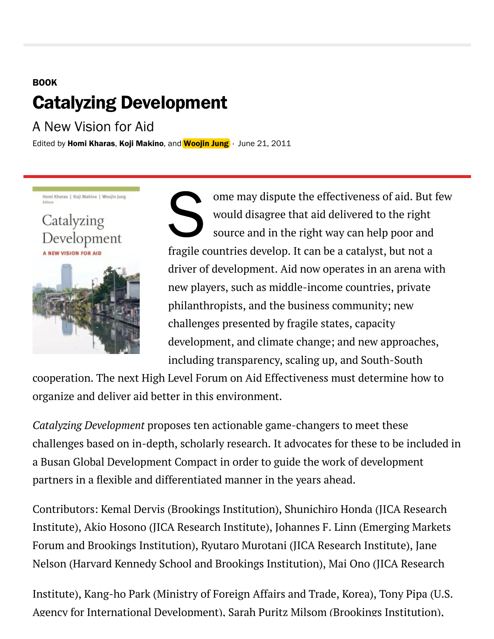# **BOOK Catalyzing Development**

A New Vision for Aid

Edited by Homi [Khara](https://www.brookings.edu/experts/homi-kharas/)s, Koji [Makino](https://www.brookings.edu/search/Koji+Makino/), and [Woojin](https://www.brookings.edu/search/Woojin+Jung/) Jung · June 21, 2011

Homi Kharas | Koji Makino | Woojin Jung

Catalyzing Development



 ome may dispute the effectiveness of aid. But few would disagree that aid delivered to the right source and in the right way can help poor and fragile countries develop. It can be a catalyst, but not a driver of development. Aid now operates in an arena with new players, such as middle-income countries, private philanthropists, and the business community; new challenges presented by fragile states, capacity development, and climate change; and new approaches, including transparency, scaling up, and South-South

cooperation. The next High Level Forum on Aid Effectiveness must determine how to organize and deliver aid better in this environment.

*Catalyzing Development* proposes ten actionable game-changers to meet these challenges based on in-depth, scholarly research. It advocates for these to be included in a Busan Global Development Compact in order to guide the work of development partners in a flexible and differentiated manner in the years ahead.

Contributors: Kemal Dervis (Brookings Institution), Shunichiro Honda (JICA Research Institute), Akio Hosono (JICA Research Institute), Johannes F. Linn (Emerging Markets Forum and Brookings Institution), Ryutaro Murotani (JICA Research Institute), Jane Nelson (Harvard Kennedy School and Brookings Institution), Mai Ono (JICA Research

Institute), Kang-ho Park (Ministry of Foreign Affairs and Trade, Korea), Tony Pipa (U.S. Agency for International Development), Sarah Puritz Milsom (Brookings Institution),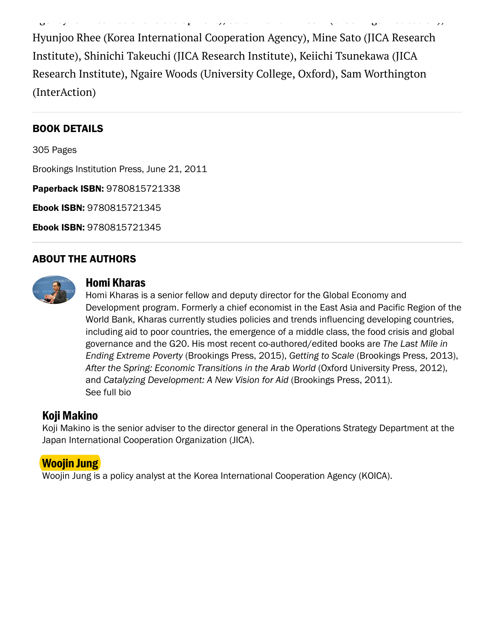Hyunjoo Rhee (Korea International Cooperation Agency), Mine Sato (JICA Research Institute), Shinichi Takeuchi (JICA Research Institute), Keiichi Tsunekawa (JICA Research Institute), Ngaire Woods (University College, Oxford), Sam Worthington (InterAction)

Agency for International Development), Sarah Puritz Milsom (Brookings Institution),

### **BOOK DETAILS**

305 Page

Brookings Institution Press, June 21, 2011

Paperback ISBN: 9780815721338

Ebook ISBN: 9780815721345

Ebook ISBN: 9780815721345

#### **ABOUT THE AUTHORS**



#### Homi Khara

Homi Kharas is a senior fellow and deputy director for the Global Economy and Development program. Formerly a chief economist in the East Asia and Pacific Region of the World Bank, Kharas currently studies policies and trends influencing developing countries, including aid to poor countries, the emergence of a middle class, the food crisis and global governance and the G20. His most recent co-authored/edited books are The Last Mile in Ending Extreme Poverty (Brookings Press, 2015), Getting to Scale (Brookings Press, 2013), After the Spring: Economic Transitions in the Arab World (Oxford University Press, 2012), and Catalyzing Development: A New Vision for Aid (Brookings Press, 2011). S[ee](https://www.brookings.edu/experts/homi-kharas/) full bio

# Koji Makino

Koji Makino is the senior adviser to the director general in the Operations Strategy Department at the Japan International Cooperation Organization (JICA).

# Woojin Jung

Woojin Jung is a policy analyst at the Korea International Cooperation Agency (KOICA).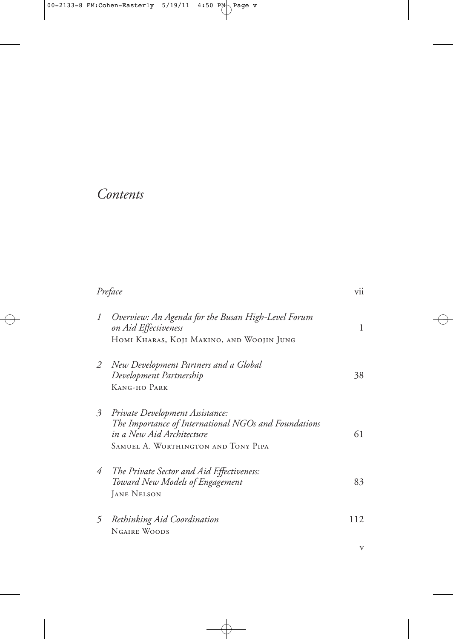# *Contents*

| Preface                                                                                                                                                     | vii                                       |
|-------------------------------------------------------------------------------------------------------------------------------------------------------------|-------------------------------------------|
| Overview: An Agenda for the Busan High-Level Forum<br>on Aid Effectiveness                                                                                  | 1                                         |
|                                                                                                                                                             |                                           |
| New Development Partners and a Global<br>Development Partnership                                                                                            | 38                                        |
| KANG-HO PARK                                                                                                                                                |                                           |
| Private Development Assistance:<br>The Importance of International NGOs and Foundations<br>in a New Aid Architecture<br>SAMUEL A. WORTHINGTON AND TONY PIPA | 61                                        |
| The Private Sector and Aid Effectiveness:<br>Toward New Models of Engagement<br><b>JANE NELSON</b>                                                          | 83                                        |
| Rethinking Aid Coordination<br><b>NGAIRE WOODS</b>                                                                                                          | 112                                       |
|                                                                                                                                                             | HOMI KHARAS, KOJI MAKINO, AND WOOJIN JUNG |